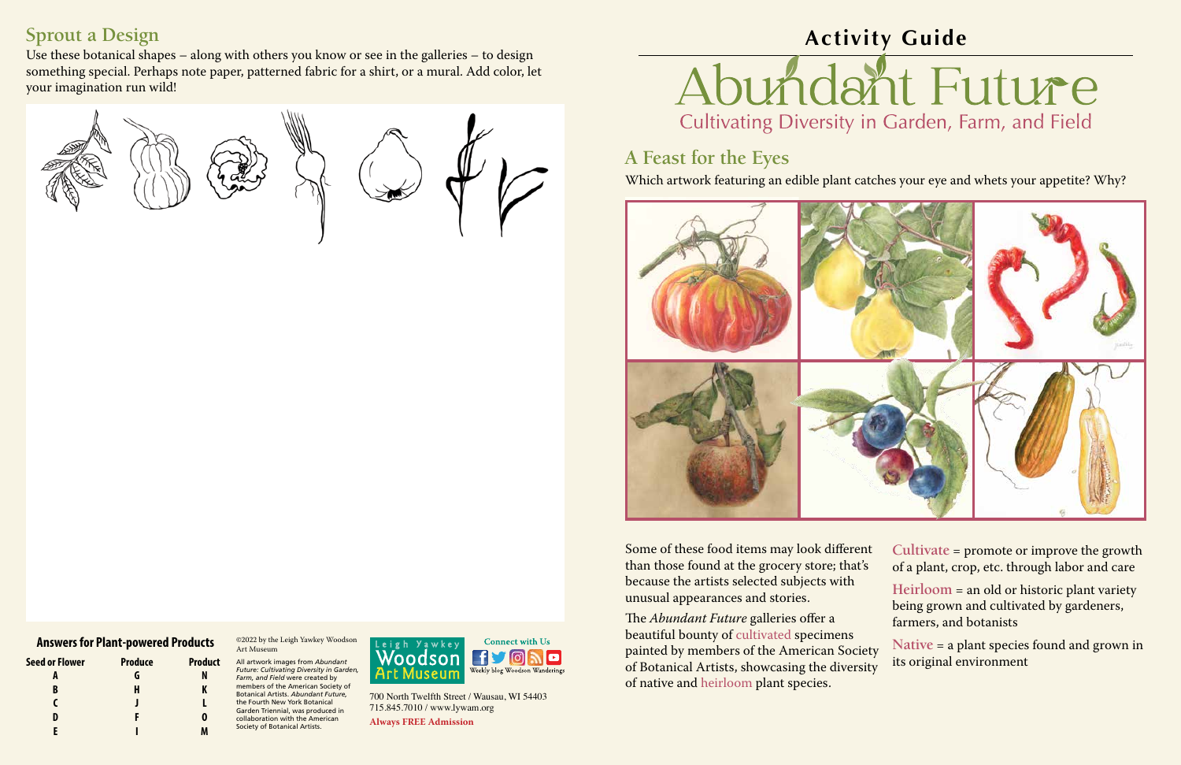700 North Twelfth Street / Wausau, WI 54403 715.845.7010 / www.lywam.org

**Always FREE Admission**

©2022 by the Leigh Yawkey Woodson Art Museum

All artwork images from *Abundant Future: Cultivating Diversity in Garden, Farm, and Field* were created by members of the American Society of Botanical Artists. *Abundant Future,* the Fourth New York Botanical Garden Triennial, was produced in collaboration with the American Society of Botanical Artists.





## **A Feast for the Eyes**



### Which artwork featuring an edible plant catches your eye and whets your appetite? Why?

Some of these food items may look different than those found at the grocery store; that's because the artists selected subjects with unusual appearances and stories.

The *Abundant Future* galleries offer a beautiful bounty of cultivated specimens painted by members of the American Society of Botanical Artists, showcasing the diversity of native and heirloom plant species. farmers, and botanists **Native** = a plant species found and grown in its original environment

**Cultivate** = promote or improve the growth of a plant, crop, etc. through labor and care

**Heirloom** = an old or historic plant variety being grown and cultivated by gardeners,

## **Sprout a Design**

Use these botanical shapes – along with others you know or see in the galleries – to design something special. Perhaps note paper, patterned fabric for a shirt, or a mural. Add color, let your imagination run wild!



### **Answers for Plant-powered Products**

**Seed or Flower Produce Product A G N B H K C J L D F O E I M**